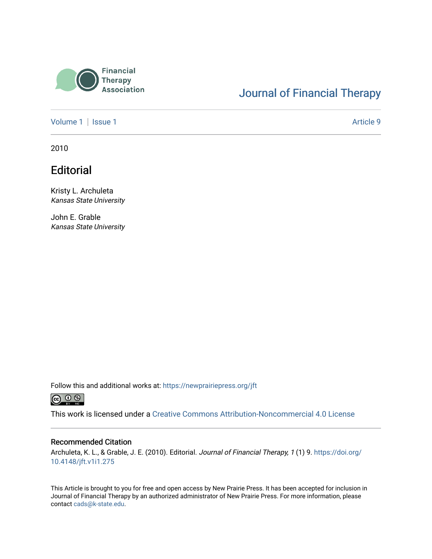

### [Journal of Financial Therapy](https://newprairiepress.org/jft)

[Volume 1](https://newprairiepress.org/jft/vol1) | [Issue 1](https://newprairiepress.org/jft/vol1/iss1) Article 9

2010

### **Editorial**

Kristy L. Archuleta Kansas State University

John E. Grable Kansas State University

Follow this and additional works at: [https://newprairiepress.org/jft](https://newprairiepress.org/jft?utm_source=newprairiepress.org%2Fjft%2Fvol1%2Fiss1%2F9&utm_medium=PDF&utm_campaign=PDFCoverPages)



This work is licensed under a [Creative Commons Attribution-Noncommercial 4.0 License](https://creativecommons.org/licenses/by-nc/4.0/)

#### Recommended Citation

Archuleta, K. L., & Grable, J. E. (2010). Editorial. Journal of Financial Therapy, 1 (1) 9. [https://doi.org/](https://doi.org/10.4148/jft.v1i1.275) [10.4148/jft.v1i1.275](https://doi.org/10.4148/jft.v1i1.275)

This Article is brought to you for free and open access by New Prairie Press. It has been accepted for inclusion in Journal of Financial Therapy by an authorized administrator of New Prairie Press. For more information, please contact [cads@k-state.edu](mailto:cads@k-state.edu).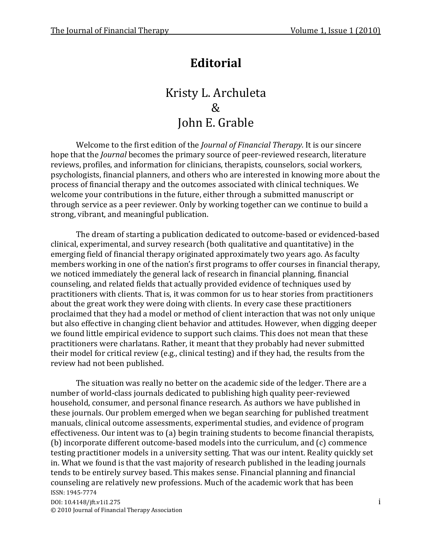# **Editorial**

## Kristy L. Archuleta  $\mathcal{R}_{\mathcal{L}}$ John E. Grable

Welcome to the first edition of the *Journal of Financial Therapy*. It is our sincere hope that the *Journal* becomes the primary source of peer-reviewed research, literature reviews, profiles, and information for clinicians, therapists, counselors, social workers, psychologists, financial planners, and others who are interested in knowing more about the process of financial therapy and the outcomes associated with clinical techniques. We welcome your contributions in the future, either through a submitted manuscript or through service as a peer reviewer. Only by working together can we continue to build a strong, vibrant, and meaningful publication.

The dream of starting a publication dedicated to outcome-based or evidenced-based clinical, experimental, and survey research (both qualitative and quantitative) in the emerging field of financial therapy originated approximately two years ago. As faculty members working in one of the nation's first programs to offer courses in financial therapy, we noticed immediately the general lack of research in financial planning, financial counseling, and related fields that actually provided evidence of techniques used by practitioners with clients. That is, it was common for us to hear stories from practitioners about the great work they were doing with clients. In every case these practitioners proclaimed that they had a model or method of client interaction that was not only unique but also effective in changing client behavior and attitudes. However, when digging deeper we found little empirical evidence to support such claims. This does not mean that these practitioners were charlatans. Rather, it meant that they probably had never submitted their model for critical review (e.g., clinical testing) and if they had, the results from the review had not been published.

ISSN: 1945-7774 DOI: 10.4148/jft.v1i1.275 i © 2010 Journal of Financial Therapy Association The situation was really no better on the academic side of the ledger. There are a number of world-class journals dedicated to publishing high quality peer-reviewed household, consumer, and personal finance research. As authors we have published in these journals. Our problem emerged when we began searching for published treatment manuals, clinical outcome assessments, experimental studies, and evidence of program effectiveness. Our intent was to (a) begin training students to become financial therapists, (b) incorporate different outcome-based models into the curriculum, and (c) commence testing practitioner models in a university setting. That was our intent. Reality quickly set in. What we found is that the vast majority of research published in the leading journals tends to be entirely survey based. This makes sense. Financial planning and financial counseling are relatively new professions. Much of the academic work that has been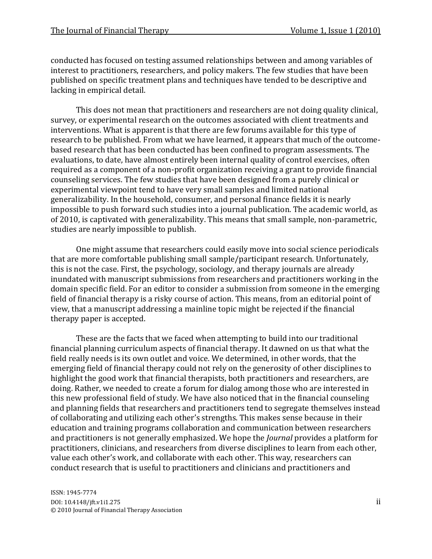conducted has focused on testing assumed relationships between and among variables of interest to practitioners, researchers, and policy makers. The few studies that have been published on specific treatment plans and techniques have tended to be descriptive and lacking in empirical detail.

This does not mean that practitioners and researchers are not doing quality clinical, survey, or experimental research on the outcomes associated with client treatments and interventions. What is apparent is that there are few forums available for this type of research to be published. From what we have learned, it appears that much of the outcomebased research that has been conducted has been confined to program assessments. The evaluations, to date, have almost entirely been internal quality of control exercises, often required as a component of a non-profit organization receiving a grant to provide financial counseling services. The few studies that have been designed from a purely clinical or experimental viewpoint tend to have very small samples and limited national generalizability. In the household, consumer, and personal finance fields it is nearly impossible to push forward such studies into a journal publication. The academic world, as of 2010, is captivated with generalizability. This means that small sample, non-parametric, studies are nearly impossible to publish.

One might assume that researchers could easily move into social science periodicals that are more comfortable publishing small sample/participant research. Unfortunately, this is not the case. First, the psychology, sociology, and therapy journals are already inundated with manuscript submissions from researchers and practitioners working in the domain specific field. For an editor to consider a submission from someone in the emerging field of financial therapy is a risky course of action. This means, from an editorial point of view, that a manuscript addressing a mainline topic might be rejected if the financial therapy paper is accepted.

These are the facts that we faced when attempting to build into our traditional financial planning curriculum aspects of financial therapy. It dawned on us that what the field really needs is its own outlet and voice. We determined, in other words, that the emerging field of financial therapy could not rely on the generosity of other disciplines to highlight the good work that financial therapists, both practitioners and researchers, are doing. Rather, we needed to create a forum for dialog among those who are interested in this new professional field of study. We have also noticed that in the financial counseling and planning fields that researchers and practitioners tend to segregate themselves instead of collaborating and utilizing each other's strengths. This makes sense because in their education and training programs collaboration and communication between researchers and practitioners is not generally emphasized. We hope the *Journal* provides a platform for practitioners, clinicians, and researchers from diverse disciplines to learn from each other, value each other's work, and collaborate with each other. This way, researchers can conduct research that is useful to practitioners and clinicians and practitioners and

ISSN: 1945-7774 DOI: 10.4148/jft.v1i1.275 ii © 2010 Journal of Financial Therapy Association